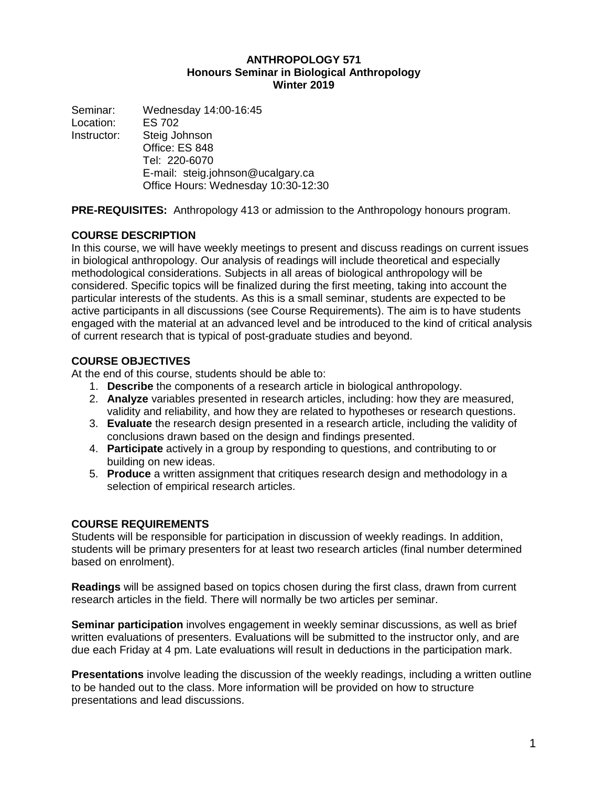#### **ANTHROPOLOGY 571 Honours Seminar in Biological Anthropology Winter 2019**

Seminar: Wednesday 14:00-16:45<br>Location: ES 702 Location: Instructor: Steig Johnson Office: ES 848 Tel: 220-6070 E-mail: steig.johnson@ucalgary.ca Office Hours: Wednesday 10:30-12:30

**PRE-REQUISITES:** Anthropology 413 or admission to the Anthropology honours program.

# **COURSE DESCRIPTION**

In this course, we will have weekly meetings to present and discuss readings on current issues in biological anthropology. Our analysis of readings will include theoretical and especially methodological considerations. Subjects in all areas of biological anthropology will be considered. Specific topics will be finalized during the first meeting, taking into account the particular interests of the students. As this is a small seminar, students are expected to be active participants in all discussions (see Course Requirements). The aim is to have students engaged with the material at an advanced level and be introduced to the kind of critical analysis of current research that is typical of post-graduate studies and beyond.

# **COURSE OBJECTIVES**

At the end of this course, students should be able to:

- 1. **Describe** the components of a research article in biological anthropology.
- 2. **Analyze** variables presented in research articles, including: how they are measured, validity and reliability, and how they are related to hypotheses or research questions.
- 3. **Evaluate** the research design presented in a research article, including the validity of conclusions drawn based on the design and findings presented.
- 4. **Participate** actively in a group by responding to questions, and contributing to or building on new ideas.
- 5. **Produce** a written assignment that critiques research design and methodology in a selection of empirical research articles.

# **COURSE REQUIREMENTS**

Students will be responsible for participation in discussion of weekly readings. In addition, students will be primary presenters for at least two research articles (final number determined based on enrolment).

**Readings** will be assigned based on topics chosen during the first class, drawn from current research articles in the field. There will normally be two articles per seminar.

**Seminar participation** involves engagement in weekly seminar discussions, as well as brief written evaluations of presenters. Evaluations will be submitted to the instructor only, and are due each Friday at 4 pm. Late evaluations will result in deductions in the participation mark.

**Presentations** involve leading the discussion of the weekly readings, including a written outline to be handed out to the class. More information will be provided on how to structure presentations and lead discussions.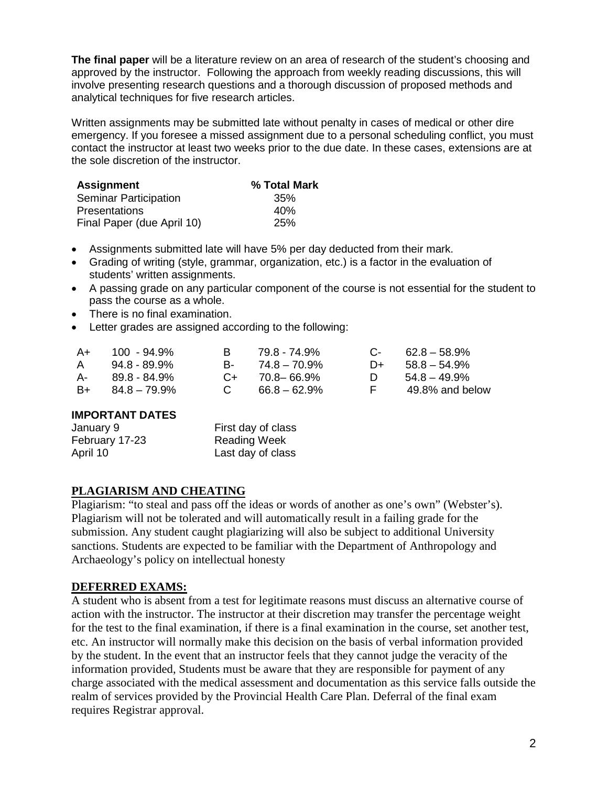**The final paper** will be a literature review on an area of research of the student's choosing and approved by the instructor. Following the approach from weekly reading discussions, this will involve presenting research questions and a thorough discussion of proposed methods and analytical techniques for five research articles.

Written assignments may be submitted late without penalty in cases of medical or other dire emergency. If you foresee a missed assignment due to a personal scheduling conflict, you must contact the instructor at least two weeks prior to the due date. In these cases, extensions are at the sole discretion of the instructor.

| <b>Assignment</b>            | % Total Mark |
|------------------------------|--------------|
| <b>Seminar Participation</b> | 35%          |
| <b>Presentations</b>         | 40%          |
| Final Paper (due April 10)   | 25%          |

- Assignments submitted late will have 5% per day deducted from their mark.
- Grading of writing (style, grammar, organization, etc.) is a factor in the evaluation of students' written assignments.
- A passing grade on any particular component of the course is not essential for the student to pass the course as a whole.
- There is no final examination.
- Letter grades are assigned according to the following:

| A+   | $100 - 94.9\%$  | R.           | 79.8 - 74.9%       |      | $C - 62.8 - 58.9\%$ |
|------|-----------------|--------------|--------------------|------|---------------------|
| A    | $94.8 - 89.9\%$ | <b>B</b> -   | 74.8 – 70.9%       | $D+$ | $58.8 - 54.9\%$     |
| A- 1 | 89.8 - 84.9%    |              | $C_{+}$ 70.8-66.9% |      | $54.8 - 49.9\%$     |
| B+   | 84.8 – 79.9%    | $\mathbb{C}$ | $66.8 - 62.9\%$    | E.   | 49.8% and below     |

#### **IMPORTANT DATES**

| January 9      | First day of class  |
|----------------|---------------------|
| February 17-23 | <b>Reading Week</b> |
| April 10       | Last day of class   |

#### **PLAGIARISM AND CHEATING**

Plagiarism: "to steal and pass off the ideas or words of another as one's own" (Webster's). Plagiarism will not be tolerated and will automatically result in a failing grade for the submission. Any student caught plagiarizing will also be subject to additional University sanctions. Students are expected to be familiar with the Department of Anthropology and Archaeology's policy on intellectual honesty

#### **DEFERRED EXAMS:**

A student who is absent from a test for legitimate reasons must discuss an alternative course of action with the instructor. The instructor at their discretion may transfer the percentage weight for the test to the final examination, if there is a final examination in the course, set another test, etc. An instructor will normally make this decision on the basis of verbal information provided by the student. In the event that an instructor feels that they cannot judge the veracity of the information provided, Students must be aware that they are responsible for payment of any charge associated with the medical assessment and documentation as this service falls outside the realm of services provided by the Provincial Health Care Plan. Deferral of the final exam requires Registrar approval.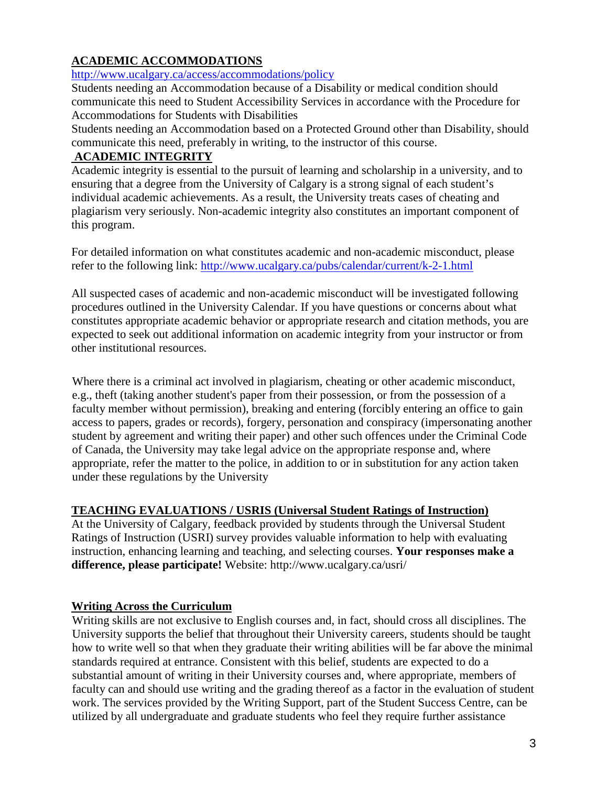# **ACADEMIC ACCOMMODATIONS**

<http://www.ucalgary.ca/access/accommodations/policy>

Students needing an Accommodation because of a Disability or medical condition should communicate this need to Student Accessibility Services in accordance with the Procedure for Accommodations for Students with Disabilities

Students needing an Accommodation based on a Protected Ground other than Disability, should communicate this need, preferably in writing, to the instructor of this course.

# **ACADEMIC INTEGRITY**

Academic integrity is essential to the pursuit of learning and scholarship in a university, and to ensuring that a degree from the University of Calgary is a strong signal of each student's individual academic achievements. As a result, the University treats cases of cheating and plagiarism very seriously. Non-academic integrity also constitutes an important component of this program.

For detailed information on what constitutes academic and non-academic misconduct, please refer to the following link:<http://www.ucalgary.ca/pubs/calendar/current/k-2-1.html>

All suspected cases of academic and non-academic misconduct will be investigated following procedures outlined in the University Calendar. If you have questions or concerns about what constitutes appropriate academic behavior or appropriate research and citation methods, you are expected to seek out additional information on academic integrity from your instructor or from other institutional resources.

Where there is a criminal act involved in plagiarism, cheating or other academic misconduct, e.g., theft (taking another student's paper from their possession, or from the possession of a faculty member without permission), breaking and entering (forcibly entering an office to gain access to papers, grades or records), forgery, personation and conspiracy (impersonating another student by agreement and writing their paper) and other such offences under the Criminal Code of Canada, the University may take legal advice on the appropriate response and, where appropriate, refer the matter to the police, in addition to or in substitution for any action taken under these regulations by the University

# **TEACHING EVALUATIONS / USRIS (Universal Student Ratings of Instruction)**

At the University of Calgary, feedback provided by students through the Universal Student Ratings of Instruction (USRI) survey provides valuable information to help with evaluating instruction, enhancing learning and teaching, and selecting courses. **Your responses make a difference, please participate!** Website: http://www.ucalgary.ca/usri/

# **Writing Across the Curriculum**

Writing skills are not exclusive to English courses and, in fact, should cross all disciplines. The University supports the belief that throughout their University careers, students should be taught how to write well so that when they graduate their writing abilities will be far above the minimal standards required at entrance. Consistent with this belief, students are expected to do a substantial amount of writing in their University courses and, where appropriate, members of faculty can and should use writing and the grading thereof as a factor in the evaluation of student work. The services provided by the Writing Support, part of the Student Success Centre, can be utilized by all undergraduate and graduate students who feel they require further assistance